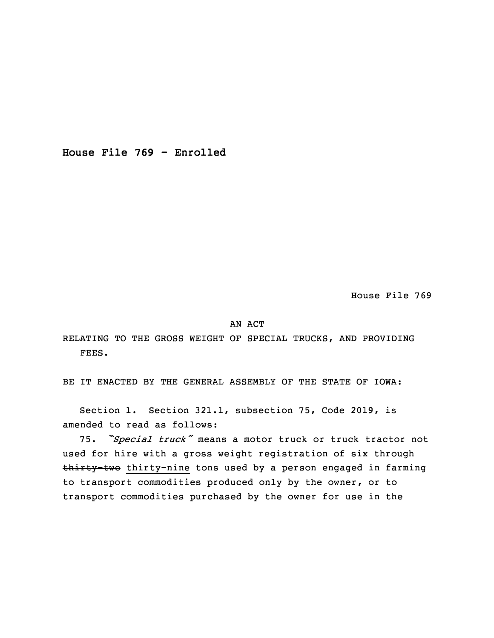**House File 769 - Enrolled**

House File 769

## AN ACT

RELATING TO THE GROSS WEIGHT OF SPECIAL TRUCKS, AND PROVIDING FEES.

BE IT ENACTED BY THE GENERAL ASSEMBLY OF THE STATE OF IOWA:

 Section 1. Section 321.1, subsection 75, Code 2019, is amended to read as follows:

<sup>3</sup> 75. *"Special truck"* means <sup>a</sup> motor truck or truck tractor not used for hire with <sup>a</sup> gross weight registration of six through thirty-two thirty-nine tons used by a person engaged in farming to transport commodities produced only by the owner, or to transport commodities purchased by the owner for use in the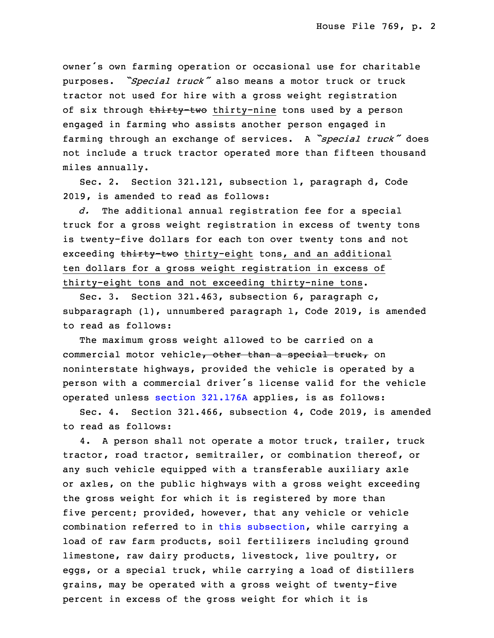owner's own farming operation or occasional use for charitable <sup>9</sup> purposes. *"Special truck"* also means <sup>a</sup> motor truck or truck tractor not used for hire with a gross weight registration of six through thirty-two thirty-nine tons used by a person engaged in farming who assists another person engaged in <sup>13</sup> farming through an exchange of services. <sup>A</sup> *"special truck"* does not include <sup>a</sup> truck tractor operated more than fifteen thousand miles annually.

Sec. 2. Section 321.121, subsection 1, paragraph d, Code 2019, is amended to read as follows:

18 *d.* The additional annual registration fee for <sup>a</sup> special truck for a gross weight registration in excess of twenty tons is twenty-five dollars for each ton over twenty tons and not exceeding thirty-two thirty-eight tons, and an additional ten dollars for <sup>a</sup> gross weight registration in excess of thirty-eight tons and not exceeding thirty-nine tons.

 Sec. 3. Section 321.463, subsection 6, paragraph c, subparagraph  $(1)$ , unnumbered paragraph 1, Code 2019, is amended to read as follows:

The maximum gross weight allowed to be carried on a commercial motor vehicle, other than a special truck, on noninterstate highways, provided the vehicle is operated by a person with a commercial driver's license valid for the vehicle 31 operated unless section [321.176A](https://www.legis.iowa.gov/docs/code/2019/321.176A.pdf) applies, is as follows:

Sec. 4. Section 321.466, subsection 4, Code 2019, is amended to read as follows:

4. A person shall not operate a motor truck, trailer, truck tractor, road tractor, semitrailer, or combination thereof, or any such vehicle equipped with <sup>a</sup> transferable auxiliary axle or axles, on the public highways with <sup>a</sup> gross weight exceeding the gross weight for which it is registered by more than five percent; provided, however, that any vehicle or vehicle combination referred to in this [subsection](https://www.legis.iowa.gov/docs/code/2019/321.466.pdf), while carrying a load of raw farm products, soil fertilizers including ground limestone, raw dairy products, livestock, live poultry, or eggs, or a special truck, while carrying a load of distillers 9 grains, may be operated with <sup>a</sup> gross weight of twenty-five percent in excess of the gross weight for which it is